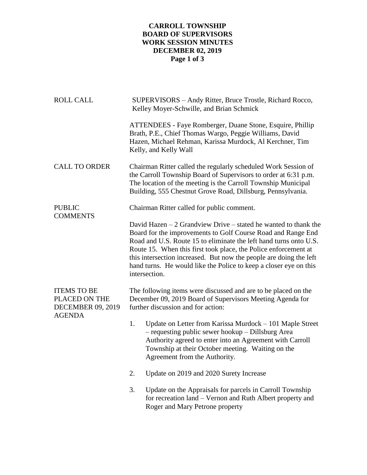## **CARROLL TOWNSHIP BOARD OF SUPERVISORS WORK SESSION MINUTES DECEMBER 02, 2019 Page 1 of 3**

| <b>ROLL CALL</b>                                                                 | SUPERVISORS - Andy Ritter, Bruce Trostle, Richard Rocco,<br>Kelley Moyer-Schwille, and Brian Schmick                                                                                                                                                                                                                                                                                                                                   |
|----------------------------------------------------------------------------------|----------------------------------------------------------------------------------------------------------------------------------------------------------------------------------------------------------------------------------------------------------------------------------------------------------------------------------------------------------------------------------------------------------------------------------------|
|                                                                                  | ATTENDEES - Faye Romberger, Duane Stone, Esquire, Phillip<br>Brath, P.E., Chief Thomas Wargo, Peggie Williams, David<br>Hazen, Michael Rehman, Karissa Murdock, Al Kerchner, Tim<br>Kelly, and Kelly Wall                                                                                                                                                                                                                              |
| <b>CALL TO ORDER</b>                                                             | Chairman Ritter called the regularly scheduled Work Session of<br>the Carroll Township Board of Supervisors to order at 6:31 p.m.<br>The location of the meeting is the Carroll Township Municipal<br>Building, 555 Chestnut Grove Road, Dillsburg, Pennsylvania.                                                                                                                                                                      |
| <b>PUBLIC</b><br><b>COMMENTS</b>                                                 | Chairman Ritter called for public comment.                                                                                                                                                                                                                                                                                                                                                                                             |
|                                                                                  | David Hazen $-2$ Grandview Drive $-$ stated he wanted to thank the<br>Board for the improvements to Golf Course Road and Range End<br>Road and U.S. Route 15 to eliminate the left hand turns onto U.S.<br>Route 15. When this first took place, the Police enforcement at<br>this intersection increased. But now the people are doing the left<br>hand turns. He would like the Police to keep a closer eye on this<br>intersection. |
| <b>ITEMS TO BE</b><br>PLACED ON THE<br><b>DECEMBER 09, 2019</b><br><b>AGENDA</b> | The following items were discussed and are to be placed on the<br>December 09, 2019 Board of Supervisors Meeting Agenda for<br>further discussion and for action:                                                                                                                                                                                                                                                                      |
|                                                                                  | 1.<br>Update on Letter from Karissa Murdock – 101 Maple Street<br>- requesting public sewer hookup - Dillsburg Area<br>Authority agreed to enter into an Agreement with Carroll<br>Township at their October meeting. Waiting on the<br>Agreement from the Authority.                                                                                                                                                                  |
|                                                                                  | Update on 2019 and 2020 Surety Increase<br>2.                                                                                                                                                                                                                                                                                                                                                                                          |
|                                                                                  | 3.<br>Update on the Appraisals for parcels in Carroll Township<br>for recreation land – Vernon and Ruth Albert property and<br>Roger and Mary Petrone property                                                                                                                                                                                                                                                                         |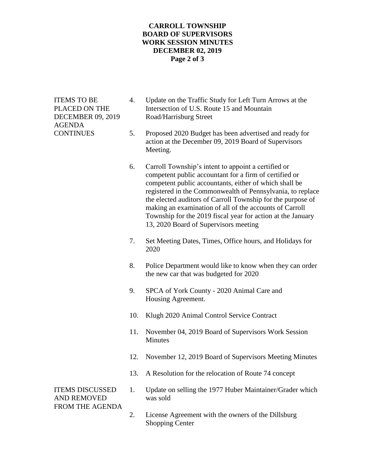## **CARROLL TOWNSHIP BOARD OF SUPERVISORS WORK SESSION MINUTES DECEMBER 02, 2019 Page 2 of 3**

AGENDA

- ITEMS TO BE 4. Update on the Traffic Study for Left Turn Arrows at the PLACED ON THE Intersection of U.S. Route 15 and Mountain DECEMBER 09, 2019 Road/Harrisburg Street
- CONTINUES 5. Proposed 2020 Budget has been advertised and ready for action at the December 09, 2019 Board of Supervisors Meeting.
	- 6. Carroll Township's intent to appoint a certified or competent public accountant for a firm of certified or competent public accountants, either of which shall be registered in the Commonwealth of Pennsylvania, to replace the elected auditors of Carroll Township for the purpose of making an examination of all of the accounts of Carroll Township for the 2019 fiscal year for action at the January 13, 2020 Board of Supervisors meeting
	- 7. Set Meeting Dates, Times, Office hours, and Holidays for 2020
	- 8. Police Department would like to know when they can order the new car that was budgeted for 2020
	- 9. SPCA of York County 2020 Animal Care and Housing Agreement.
	- 10. Klugh 2020 Animal Control Service Contract
	- 11. November 04, 2019 Board of Supervisors Work Session Minutes
	- 12. November 12, 2019 Board of Supervisors Meeting Minutes
	- 13. A Resolution for the relocation of Route 74 concept

AND REMOVED was sold FROM THE AGENDA

- ITEMS DISCUSSED 1. Update on selling the 1977 Huber Maintainer/Grader which
	- 2. License Agreement with the owners of the Dillsburg Shopping Center